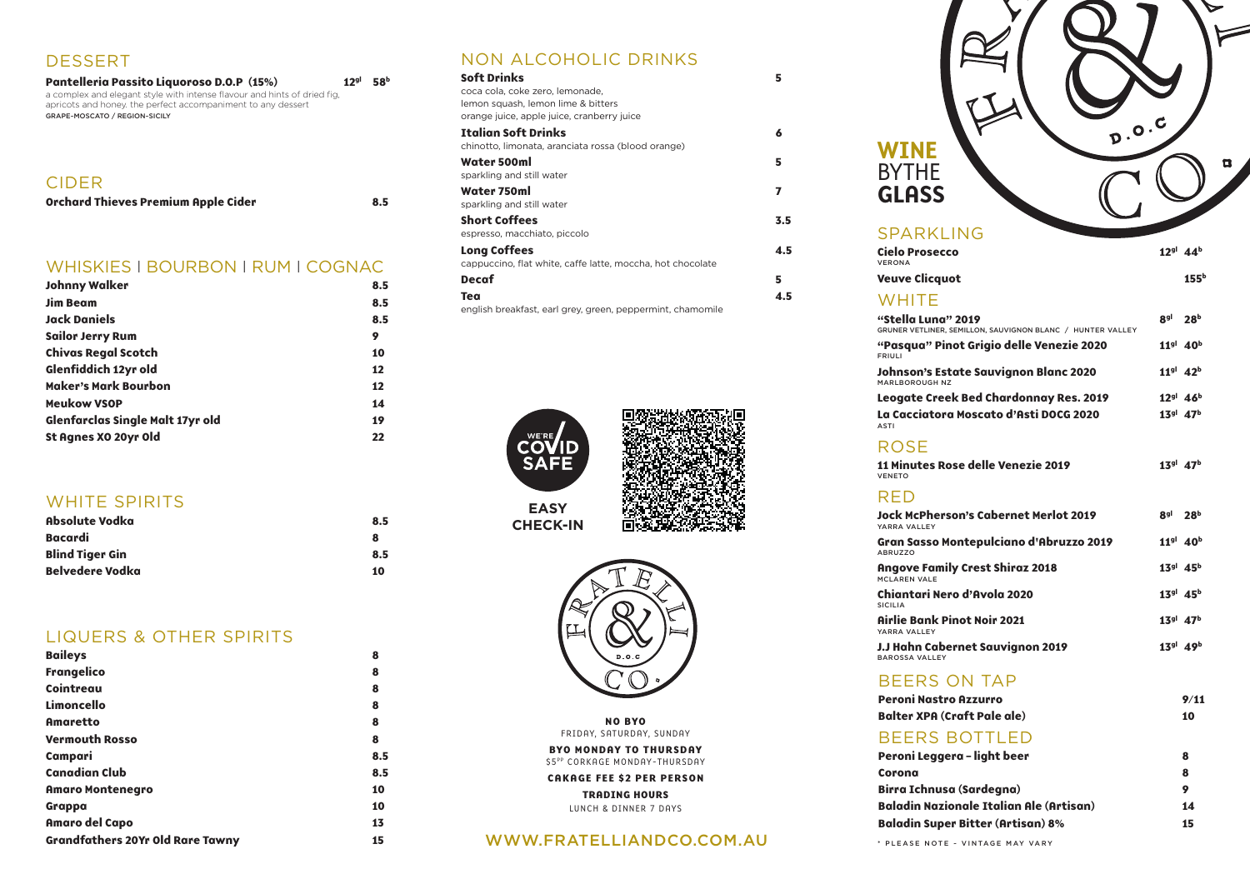# SPARKLING

**Cielo Prosecc** VERONA

**Veuve Clicquot** 

#### **WHITE**

**"Stella Luna" 2019 8gl 28b** GRUNER VETLINER,

"Pasqua" Pir FRIULI

**Johnson's Est** MARLBOROUGH NZ

**Leogate Cree** La Cacciator

**11 Minutes Rose** VENETO

**Jock McPher** YARRA VALLEY

**Gran Sasso M** ABRUZZO

**Angove Fami** MCLAREN VALE

**Chiantari Nero** SICILIA **Airlie Bank Pi** 

ASTI

#### ROSE

#### RED

YARRA VALLEY **J.J Hahn Cabe** BAROSSA VALLEY

#### **BEERS**

**Peroni Nastr Balter XPA (C** 

#### **BEERS**

# NON ALCOHOLIC DRINKS

| <b>Soft Drinks</b>                                         | 5   |
|------------------------------------------------------------|-----|
| coca cola, coke zero, lemonade,                            |     |
| lemon squash, lemon lime & bitters                         |     |
| orange juice, apple juice, cranberry juice                 |     |
| <b>Italian Soft Drinks</b>                                 | 6   |
| chinotto, limonata, aranciata rossa (blood orange)         |     |
| Water 500ml                                                | 5   |
| sparkling and still water                                  |     |
| Water 750ml                                                | 7   |
| sparkling and still water                                  |     |
| <b>Short Coffees</b>                                       | 3.5 |
| espresso, macchiato, piccolo                               |     |
| <b>Long Coffees</b>                                        | 4.5 |
| cappuccino, flat white, caffe latte, moccha, hot chocolate |     |
| <b>Decaf</b>                                               | 5   |
| Tea                                                        | 4.5 |
| english breakfast, earl grey, green, peppermint, chamomile |     |

**Peroni Legger Corona 8 Birra Ichnus Baladin Nazio Baladin Super Bitter (Artisan) 8% 15**

D.O.C п

| co                                                  | $12^{gl}$ 44 <sup>b</sup>        |
|-----------------------------------------------------|----------------------------------|
| ıot                                                 | 155 <sup>b</sup>                 |
| "2019"<br>SEMILLON, SAUVIGNON BLANC / HUNTER VALLEY | $8gl$ 28 <sup>b</sup>            |
| not Grigio delle Venezie 2020                       | 11 <sup>gl</sup> 40 <sup>b</sup> |
| tate Sauvignon Blanc 2020<br>Z                      | $11^{gl}$ 42 <sup>b</sup>        |
| ek Bed Chardonnay Res. 2019                         | $12^{gl}$ 46 <sup>b</sup>        |
| a Moscato d'Asti DOCG 2020                          | $13^{gl}$ 47 <sup>b</sup>        |
| ose delle Venezie 2019                              | $13^{gl}$ $47^{b}$               |
| son's Cabernet Merlot 2019                          | 8 <sup>gl</sup> 28 <sup>b</sup>  |
| <b>Iontepulciano d'Abruzzo 2019</b>                 | 11 <sup>gl</sup> 40 <sup>b</sup> |
| ily Crest Shiraz 2018                               | $13^{gl}$ 45 <sup>b</sup>        |
| ro d'Avola 2020                                     | $13^{gl}$ $45^{b}$               |
| inot Noir 2021 <sup>,</sup>                         | $13^{gl}$ 47 <sup>b</sup>        |
| ernet Sauvignon 2019                                | $13^{gl}$ 49 <sup>b</sup>        |
| <b>ON TAP</b>                                       |                                  |
| <b>O Azzurro</b>                                    | 9/11                             |
| Craft Pale ale)                                     | 10                               |
| BOTTLED                                             |                                  |
| era – light beer                                    | 8                                |
|                                                     | 8                                |
| a (Sardegna)                                        | 9                                |
| ionale Italian Ale (Artisan)                        | 14                               |

**BYO MONDAY TO THURSDAY** \$5PP CORKAGE MONDAY-THURSDAY

#### CIDER

# WINE BYTHE **GLASS**

| <b>Orchard Thieves Premium Apple Cider</b> | 8.5 |
|--------------------------------------------|-----|
|--------------------------------------------|-----|

#### WHISKIES I BOURBON I RUM I COGNAC

| <b>Johnny Walker</b>                    | 8.5 |
|-----------------------------------------|-----|
| <b>Jim Beam</b>                         | 8.5 |
| <b>Jack Daniels</b>                     | 8.5 |
| <b>Sailor Jerry Rum</b>                 | 9   |
| <b>Chivas Regal Scotch</b>              | 10  |
| Glenfiddich 12yr old                    | 12  |
| <b>Maker's Mark Bourbon</b>             | 12  |
| <b>Meukow VSOP</b>                      | 14  |
| <b>Glenfarclas Single Malt 17yr old</b> | 19  |
| St Agnes XO 20yr Old                    | 22  |

# WHITE SPIRITS

| Absolute Vodka         | 8.5 |
|------------------------|-----|
| <b>Bacardi</b>         | 8   |
| <b>Blind Tiger Gin</b> | 8.5 |
| <b>Belvedere Vodka</b> | 10  |

### LIQUERS & OTHER SPIRITS

| <b>Baileys</b>                          | 8   |
|-----------------------------------------|-----|
| <b>Frangelico</b>                       | 8   |
| Cointreau                               | 8   |
| Limoncello                              | 8   |
| <b>Amaretto</b>                         | 8   |
| <b>Vermouth Rosso</b>                   | 8   |
| Campari                                 | 8.5 |
| <b>Canadian Club</b>                    | 8.5 |
| <b>Amaro Montenegro</b>                 | 10  |
| Grappa                                  | 10  |
| <b>Amaro del Capo</b>                   | 13  |
| <b>Grandfathers 20Yr Old Rare Tawny</b> | 15  |

| Pantelleria Passito Liquoroso D.O.P (15%)                                | 12 <sup>gl</sup> | <b>58</b> b |
|--------------------------------------------------------------------------|------------------|-------------|
| a complex and elegant style with intense flavour and hints of dried fig. |                  |             |
| apricots and honey. the perfect accompaniment to any dessert             |                  |             |
| GRAPE~MOSCATO / REGION~SICILY                                            |                  |             |
|                                                                          |                  |             |
|                                                                          |                  |             |

## DESSERT





**CHECK-IN**



Πi

**NO BYO** FRIDAY, SATURDAY, SUNDAY

**CAKAGE FEE \$2 PER PERSON**

**TRADING HOURS** LUNCH & DINNER 7 DAYS

#### WWW.FRATELLIANDCO.COM.AU \* PLEASE NOTE ~ VINTAGE MAY VARY